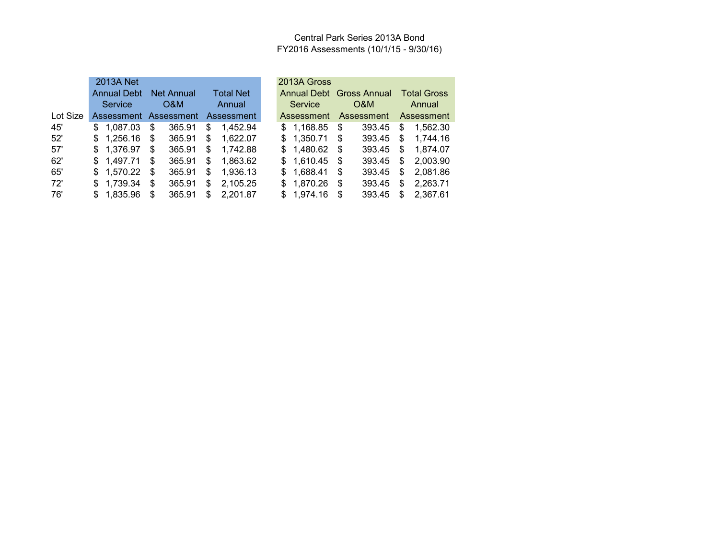### Central Park Series 2013A Bond FY2016 Assessments (10/1/15 - 9/30/16)

|          | 2013A Net          |    |            |                                  |  | 2013A Gross |      |                                  |    |                    |
|----------|--------------------|----|------------|----------------------------------|--|-------------|------|----------------------------------|----|--------------------|
|          | <b>Annual Debt</b> |    | Net Annual | <b>Total Net</b>                 |  |             |      | Annual Debt Gross Annual         |    | <b>Total Gross</b> |
|          | Service            |    | O&M        | Annual                           |  | Service     |      | O&M                              |    | Annual             |
| Lot Size |                    |    |            | Assessment Assessment Assessment |  |             |      | Assessment Assessment Assessment |    |                    |
| 45'      | \$1.087.03         | \$ | 365.91     | \$<br>1.452.94                   |  | \$1,168.85  | -\$  | 393.45                           | S. | 1,562.30           |
| 52'      | \$1,256.16         | S. | 365.91     | \$<br>1.622.07                   |  | \$1,350.71  | - \$ | 393.45                           | \$ | 1.744.16           |
| 57'      | \$1,376.97         | \$ | 365.91     | \$<br>1.742.88                   |  | \$1,480.62  | -\$  | 393.45                           | \$ | 1.874.07           |
| 62'      | \$1,497.71         | \$ | 365.91     | \$<br>1.863.62                   |  | \$1,610.45  | - \$ | 393.45                           | S. | 2,003.90           |
| 65'      | \$1,570.22         | \$ | 365.91     | \$<br>1.936.13                   |  | \$1,688.41  | \$   | 393.45                           | \$ | 2.081.86           |
| 72'      | \$1,739.34         | \$ | 365.91     | \$<br>2.105.25                   |  | \$1,870.26  | S    | 393.45                           | \$ | 2,263.71           |
| 76'      | \$1,835.96         | \$ | 365.91     | \$2,201.87                       |  | \$1.974.16  | \$.  | 393.45                           | S. | 2,367.61           |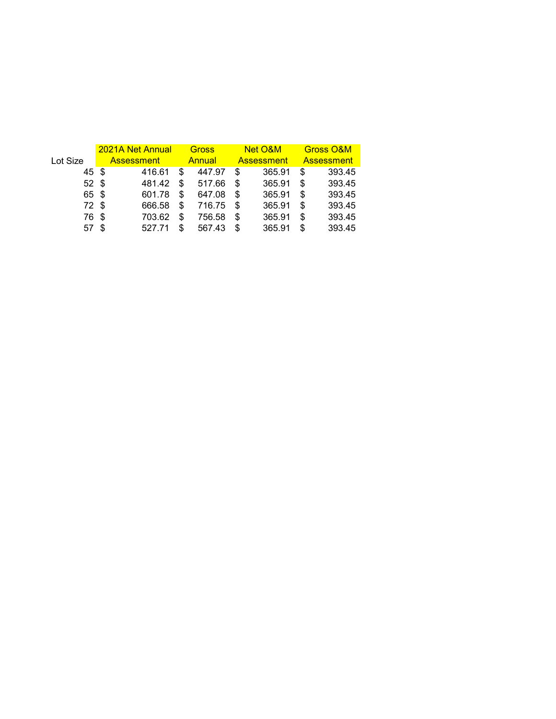|                 |     | 2021A Net Annual  |     | <b>Gross</b> |    | Net O&M           | <b>Gross O&amp;M</b> |        |  |
|-----------------|-----|-------------------|-----|--------------|----|-------------------|----------------------|--------|--|
| Lot Size        |     | <b>Assessment</b> |     | Annual       |    | <b>Assessment</b> | <b>Assessment</b>    |        |  |
| 45 \$           |     | 416.61            | \$  | 447.97       | S  | 365.91            | S                    | 393.45 |  |
| 52 <sup>°</sup> |     | 481.42            | S   | 517.66       | S  | 365.91            | S                    | 393.45 |  |
| 65 \$           |     | 601.78            | \$  | 647.08       | S  | 365.91            | S                    | 393.45 |  |
| 72 \$           |     | 666.58            | \$  | 716.75       | S  | 365.91            | S                    | 393.45 |  |
| 76              | \$. | 703.62            | S   | 756.58       | \$ | 365.91            | S                    | 393.45 |  |
| 57              |     | 527.71            | \$. | 567.43       | S  | 365.91            | S                    | 393.45 |  |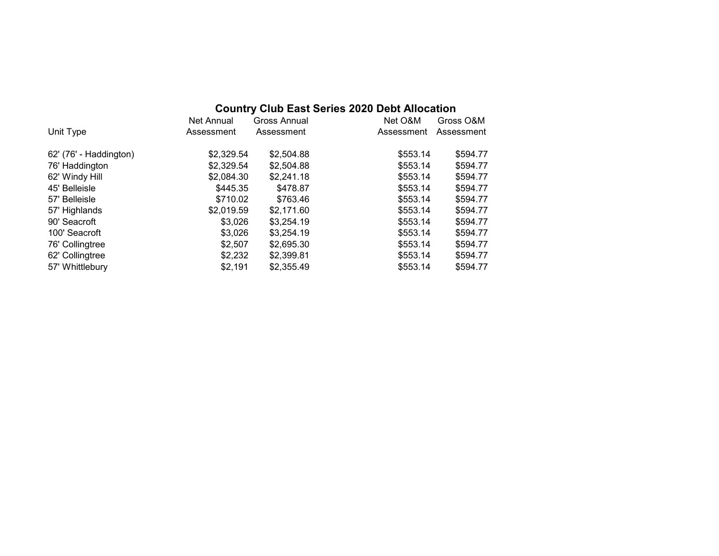# **Country Club East Series 2020 Debt Allocation**

|                        | Net Annual | Gross Annual | Net O&M    | Gross O&M  |
|------------------------|------------|--------------|------------|------------|
| Unit Type              | Assessment | Assessment   | Assessment | Assessment |
| 62' (76' - Haddington) | \$2,329.54 | \$2,504.88   | \$553.14   | \$594.77   |
| 76' Haddington         | \$2,329.54 | \$2,504.88   | \$553.14   | \$594.77   |
| 62' Windy Hill         | \$2,084.30 | \$2,241.18   | \$553.14   | \$594.77   |
| 45' Belleisle          | \$445.35   | \$478.87     | \$553.14   | \$594.77   |
| 57' Belleisle          | \$710.02   | \$763.46     | \$553.14   | \$594.77   |
| 57' Highlands          | \$2,019.59 | \$2,171.60   | \$553.14   | \$594.77   |
| 90' Seacroft           | \$3.026    | \$3,254.19   | \$553.14   | \$594.77   |
| 100' Seacroft          | \$3,026    | \$3,254.19   | \$553.14   | \$594.77   |
| 76' Collingtree        | \$2,507    | \$2,695.30   | \$553.14   | \$594.77   |
| 62' Collingtree        | \$2,232    | \$2,399.81   | \$553.14   | \$594.77   |
| 57' Whittlebury        | \$2.191    | \$2,355.49   | \$553.14   | \$594.77   |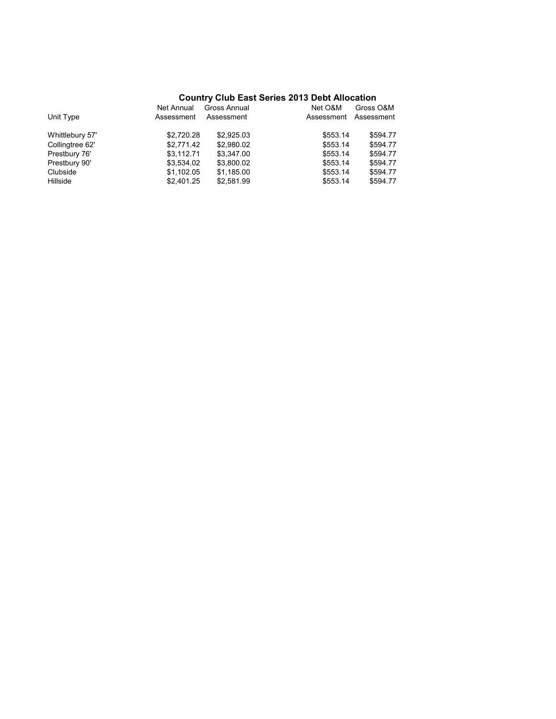## **Country Club East Series 2013 Debt Allocation**

| Unit Type       | Net Annual<br>Assessment | Gross Annual<br>Assessment | Net O&M<br>Assessment | Gross O&M<br>Assessment |
|-----------------|--------------------------|----------------------------|-----------------------|-------------------------|
| Whittlebury 57' | \$2,720.28               | \$2,925.03                 | \$553.14              | \$594.77                |
| Collingtree 62' | \$2,771.42               | \$2,980.02                 | \$553.14              | \$594.77                |
| Prestbury 76'   | \$3.112.71               | \$3,347.00                 | \$553.14              | \$594.77                |
| Prestbury 90'   | \$3,534.02               | \$3,800.02                 | \$553.14              | \$594.77                |
| Clubside        | \$1.102.05               | \$1.185.00                 | \$553.14              | \$594.77                |
| Hillside        | \$2.401.25               | \$2,581.99                 | \$553.14              | \$594.77                |
|                 |                          |                            |                       |                         |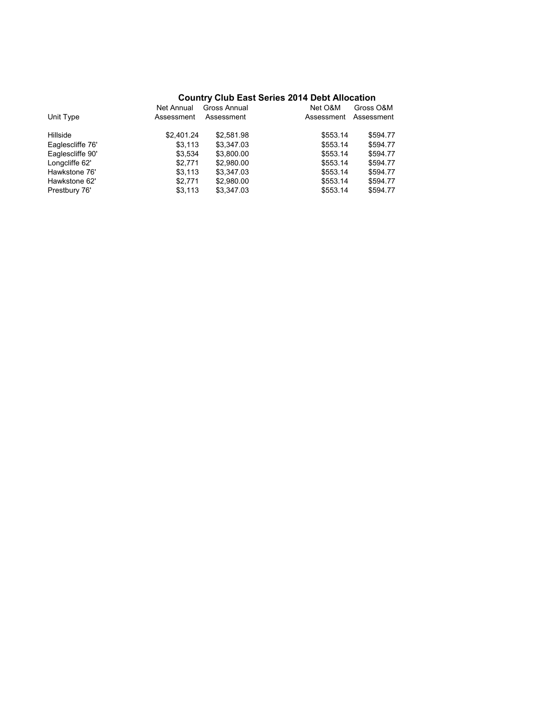## **Country Club East Series 2014 Debt Allocation**

|                  | Net Annual | Gross Annual | Net O&M    | Gross O&M  |
|------------------|------------|--------------|------------|------------|
| Unit Type        | Assessment | Assessment   | Assessment | Assessment |
| Hillside         | \$2,401.24 | \$2,581.98   | \$553.14   | \$594.77   |
| Eaglescliffe 76' | \$3,113    | \$3.347.03   | \$553.14   | \$594.77   |
| Eaglescliffe 90' | \$3.534    | \$3,800.00   | \$553.14   | \$594.77   |
| Longcliffe 62'   | \$2.771    | \$2,980.00   | \$553.14   | \$594.77   |
| Hawkstone 76'    | \$3,113    | \$3,347.03   | \$553.14   | \$594.77   |
| Hawkstone 62'    | \$2.771    | \$2,980.00   | \$553.14   | \$594.77   |
| Prestbury 76'    | \$3,113    | \$3.347.03   | \$553.14   | \$594.77   |
|                  |            |              |            |            |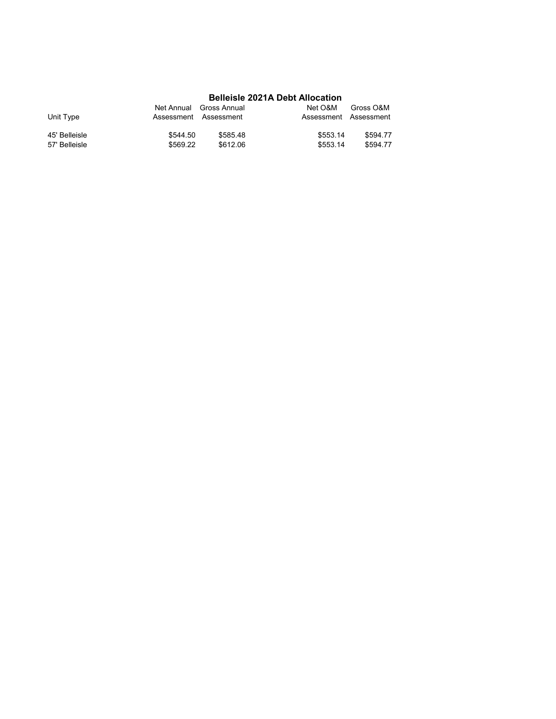### **Belleisle 2021A Debt Allocation**

| Unit Type     | Net Annual Gross Annual<br>Assessment Assessment |          | Net O&M<br>Assessment Assessment | Gross O&M |
|---------------|--------------------------------------------------|----------|----------------------------------|-----------|
| 45' Belleisle | \$544.50                                         | \$585.48 | \$553.14                         | \$594.77  |
| 57' Belleisle | \$569.22                                         | \$612.06 | \$553.14                         | \$594.77  |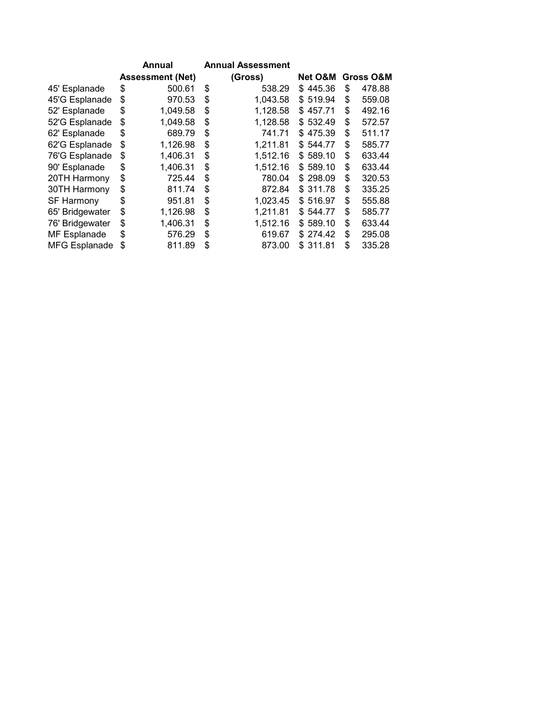|                   |                         | Annual   |    | <b>Annual Assessment</b> |          |                      |        |
|-------------------|-------------------------|----------|----|--------------------------|----------|----------------------|--------|
|                   | <b>Assessment (Net)</b> |          |    | (Gross)                  | Net O&M  | <b>Gross O&amp;M</b> |        |
| 45' Esplanade     | \$                      | 500.61   | \$ | 538.29                   | \$445.36 | \$                   | 478.88 |
| 45'G Esplanade    | \$                      | 970.53   | \$ | 1,043.58                 | \$519.94 | \$                   | 559.08 |
| 52' Esplanade     | \$                      | 1,049.58 | \$ | 1,128.58                 | \$457.71 | \$                   | 492.16 |
| 52'G Esplanade    | \$                      | 1,049.58 | \$ | 1,128.58                 | \$532.49 | \$                   | 572.57 |
| 62' Esplanade     | \$                      | 689.79   | \$ | 741.71                   | \$475.39 | \$                   | 511.17 |
| 62'G Esplanade    | \$                      | 1,126.98 | \$ | 1,211.81                 | \$544.77 | \$                   | 585.77 |
| 76'G Esplanade    | \$                      | 1,406.31 | \$ | 1,512.16                 | \$589.10 | \$                   | 633.44 |
| 90' Esplanade     | \$                      | 1,406.31 | \$ | 1,512.16                 | \$589.10 | \$                   | 633.44 |
| 20TH Harmony      | \$                      | 725.44   | \$ | 780.04                   | \$298.09 | \$                   | 320.53 |
| 30TH Harmony      | \$                      | 811.74   | \$ | 872.84                   | \$311.78 | \$                   | 335.25 |
| <b>SF Harmony</b> | \$                      | 951.81   | \$ | 1,023.45                 | \$516.97 | \$                   | 555.88 |
| 65' Bridgewater   | \$                      | 1,126.98 | \$ | 1,211.81                 | \$544.77 | \$                   | 585.77 |
| 76' Bridgewater   | \$                      | 1,406.31 | \$ | 1,512.16                 | \$589.10 | \$                   | 633.44 |
| MF Esplanade      | \$                      | 576.29   | \$ | 619.67                   | \$274.42 | \$                   | 295.08 |
| MFG Esplanade     | \$                      | 811.89   | \$ | 873.00                   | \$311.81 | \$                   | 335.28 |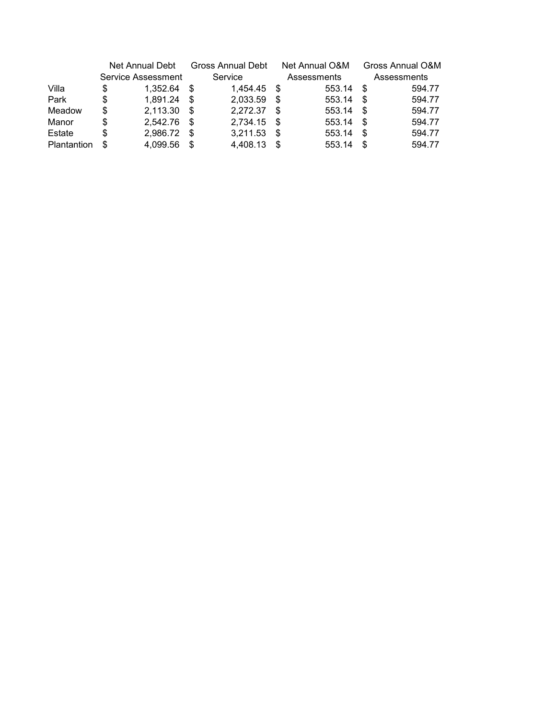|             | Net Annual Debt |                    | <b>Gross Annual Debt</b> |          | Net Annual O&M |             |      | Gross Annual O&M |  |
|-------------|-----------------|--------------------|--------------------------|----------|----------------|-------------|------|------------------|--|
|             |                 | Service Assessment |                          | Service  |                | Assessments |      | Assessments      |  |
| Villa       | S               | 1.352.64           | S                        | 1.454.45 | -S             | 553.14      | - \$ | 594.77           |  |
| Park        | S               | 1,891.24           | \$.                      | 2,033.59 | \$.            | 553.14      | S    | 594.77           |  |
| Meadow      | S               | 2,113.30           | \$.                      | 2,272.37 | \$.            | 553.14      | - \$ | 594.77           |  |
| Manor       | \$              | 2.542.76           | \$.                      | 2,734.15 | - \$           | 553.14      | - \$ | 594.77           |  |
| Estate      | S               | 2,986.72           | S                        | 3,211.53 | S              | 553.14      | - \$ | 594.77           |  |
| Plantantion |                 | 4.099.56           | S                        | 4,408.13 | \$.            | 553.14      | - \$ | 594.77           |  |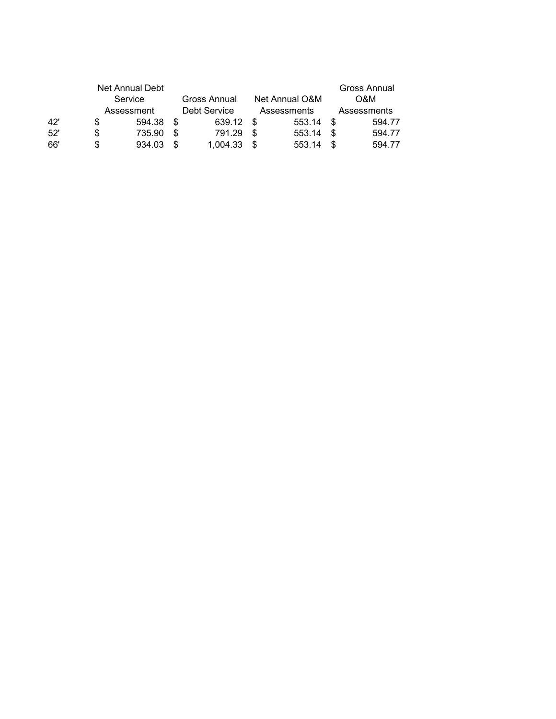|     |            | Net Annual Debt |    |              |      |                |             | Gross Annual |  |
|-----|------------|-----------------|----|--------------|------|----------------|-------------|--------------|--|
|     |            | Service         |    | Gross Annual |      | Net Annual O&M | O&M         |              |  |
|     | Assessment |                 |    | Debt Service |      | Assessments    | Assessments |              |  |
| 42' | S          | 594.38          | -S | 639.12       | - \$ | 553.14         | - \$        | 594.77       |  |
| 52' | \$         | 735.90          | -S | 791.29       | - \$ | 553.14         | - \$        | 594.77       |  |
| 66' | \$         | 934.03          |    | 1,004.33     | -S   | 553.14         | - \$        | 594.77       |  |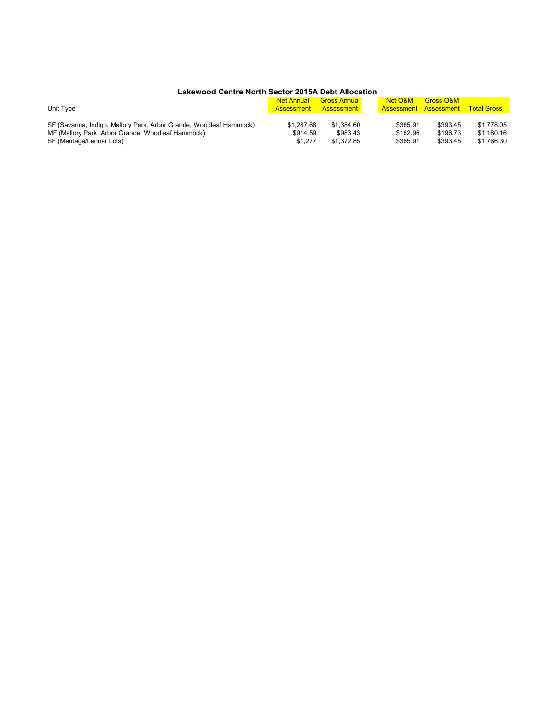#### **Lakewood Centre North Sector 2015A Debt Allocation**

|                                                                    | <b>Net Annual</b>     | <b>Gross Annual</b> | Net O&M  | <b>Gross O&amp;M</b>         |                    |
|--------------------------------------------------------------------|-----------------------|---------------------|----------|------------------------------|--------------------|
| Unit Type                                                          | Assessment Assessment |                     |          | <b>Assessment Assessment</b> | <b>Total Gross</b> |
|                                                                    |                       |                     |          |                              |                    |
| SF (Savanna, Indigo, Mallory Park, Arbor Grande, Woodleaf Hammock) | \$1.287.68            | \$1.384.60          | \$365.91 | \$393.45                     | \$1.778.05         |
| MF (Mallory Park, Arbor Grande, Woodleaf Hammock)                  | \$914.59              | \$983.43            | \$182.96 | \$196.73                     | \$1.180.16         |
| SF (Meritage/Lennar Lots)                                          | \$1.277               | \$1,372.85          | \$365.91 | \$393.45                     | \$1.766.30         |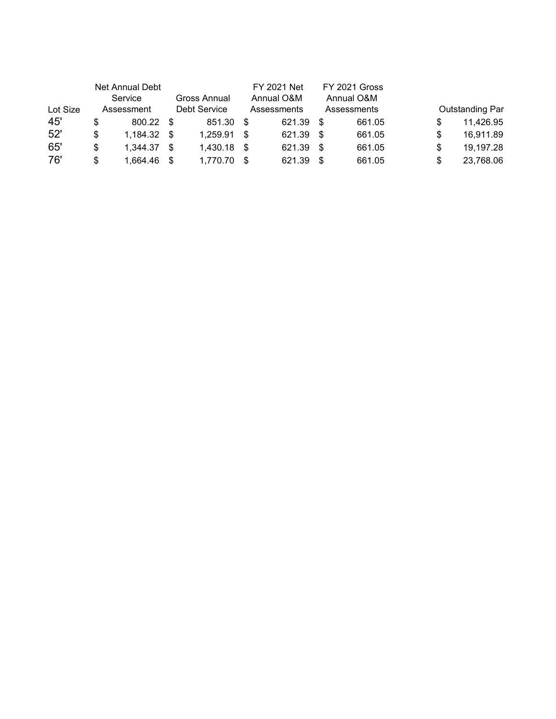|          |     | Net Annual Debt |      |              |     | <b>FY 2021 Net</b> |      | FY 2021 Gross |   |                        |
|----------|-----|-----------------|------|--------------|-----|--------------------|------|---------------|---|------------------------|
|          |     | Service         |      | Gross Annual |     | Annual O&M         |      | Annual O&M    |   |                        |
| Lot Size |     | Assessment      |      | Debt Service |     | Assessments        |      | Assessments   |   | <b>Outstanding Par</b> |
| 45'      | S   | 800.22 \$       |      | 851.30       | \$. | 621.39             | - \$ | 661.05        |   | 11,426.95              |
| 52'      | \$  | $1.184.32$ \$   |      | 1.259.91     | \$  | 621.39             | - \$ | 661.05        | S | 16,911.89              |
| 65'      | \$  | 1,344.37        | -\$  | 1,430.18     | -\$ | 621.39             | - \$ | 661.05        | S | 19,197.28              |
| 76'      | \$. | 1.664.46        | - \$ | 1.770.70     | \$. | 621.39             | - \$ | 661.05        | S | 23,768.06              |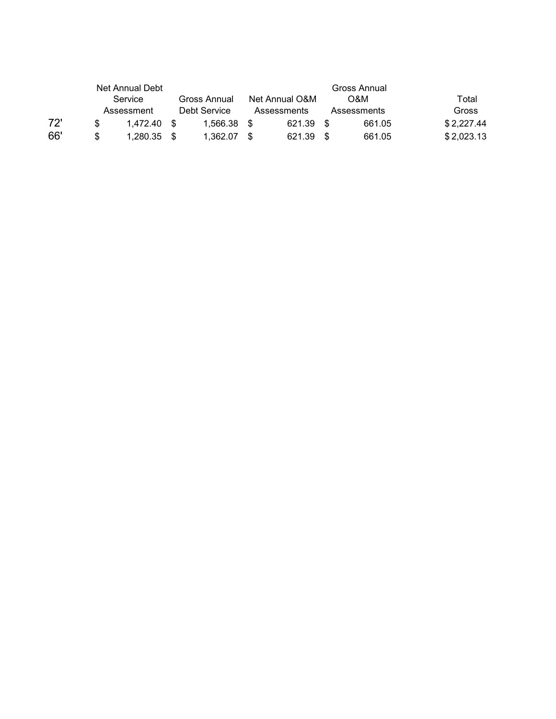|     |                            | Net Annual Debt         |      |             |  |                |      |        |                |  |
|-----|----------------------------|-------------------------|------|-------------|--|----------------|------|--------|----------------|--|
|     |                            | Service<br>Gross Annual |      |             |  | Net Annual O&M |      | O&M    | Total<br>Gross |  |
|     | Debt Service<br>Assessment |                         |      | Assessments |  | Assessments    |      |        |                |  |
| 72' |                            | 1.472.40                | . ዌ  | 1.566.38    |  | 621.39 \$      |      | 661.05 | \$2,227.44     |  |
| 66' | \$                         | 1.280.35                | - \$ | 1.362.07    |  | 621.39         | - \$ | 661.05 | \$2,023.13     |  |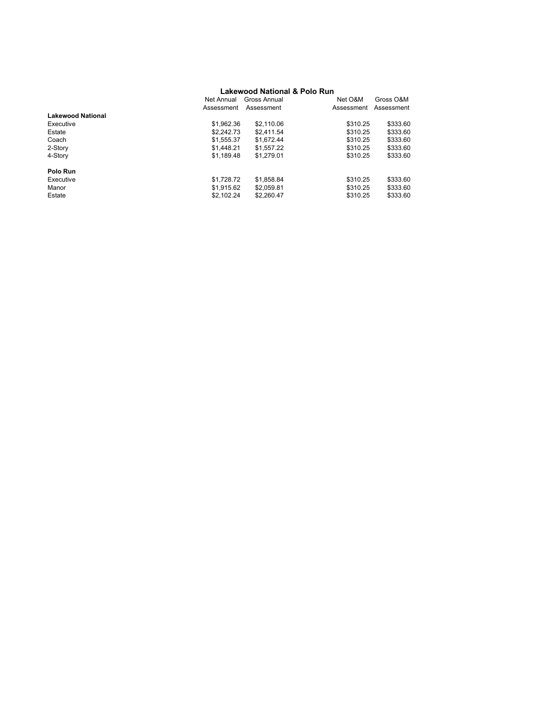#### **Lakewood National & Polo Run**

| Net Annual               |            | Gross Annual | Net O&M    | Gross O&M  |
|--------------------------|------------|--------------|------------|------------|
| Assessment               |            | Assessment   | Assessment | Assessment |
| <b>Lakewood National</b> |            |              |            |            |
| Executive                | \$1,962.36 | \$2,110.06   | \$310.25   | \$333.60   |
| Estate                   | \$2,242.73 | \$2.411.54   | \$310.25   | \$333.60   |
| Coach                    | \$1.555.37 | \$1.672.44   | \$310.25   | \$333.60   |
| 2-Story                  | \$1,448.21 | \$1.557.22   | \$310.25   | \$333.60   |
| 4-Story                  | \$1,189.48 | \$1,279.01   | \$310.25   | \$333.60   |
| Polo Run                 |            |              |            |            |
| Executive                | \$1,728.72 | \$1,858.84   | \$310.25   | \$333.60   |
| Manor                    | \$1.915.62 | \$2.059.81   | \$310.25   | \$333.60   |
| Estate                   | \$2,102.24 | \$2.260.47   | \$310.25   | \$333.60   |